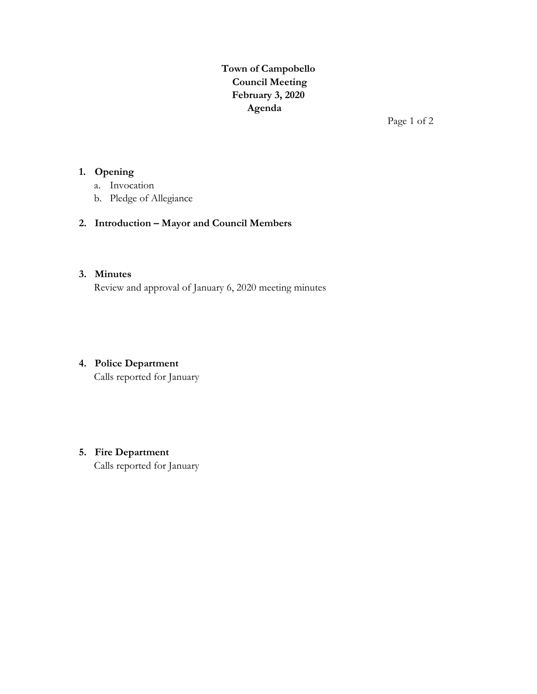**Town of Campobello Council Meeting February 3, 2020 Agenda**

Page 1 of 2

## **1. Opening**

- a. Invocation
- b. Pledge of Allegiance

# **2. Introduction – Mayor and Council Members**

### **3. Minutes**

Review and approval of January 6, 2020 meeting minutes

# **4. Police Department**

Calls reported for January

# **5. Fire Department**

Calls reported for January